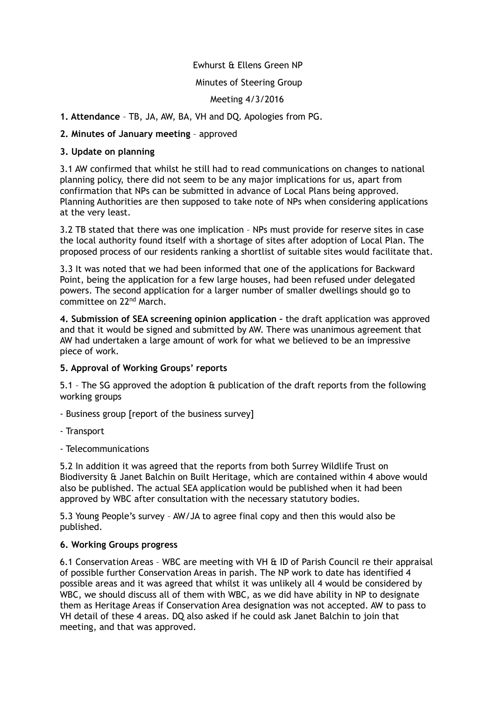# Ewhurst & Ellens Green NP

## Minutes of Steering Group

## Meeting 4/3/2016

# **1. Attendance** – TB, JA, AW, BA, VH and DQ. Apologies from PG.

# **2. Minutes of January meeting** – approved

## **3. Update on planning**

3.1 AW confirmed that whilst he still had to read communications on changes to national planning policy, there did not seem to be any major implications for us, apart from confirmation that NPs can be submitted in advance of Local Plans being approved. Planning Authorities are then supposed to take note of NPs when considering applications at the very least.

3.2 TB stated that there was one implication – NPs must provide for reserve sites in case the local authority found itself with a shortage of sites after adoption of Local Plan. The proposed process of our residents ranking a shortlist of suitable sites would facilitate that.

3.3 It was noted that we had been informed that one of the applications for Backward Point, being the application for a few large houses, had been refused under delegated powers. The second application for a larger number of smaller dwellings should go to committee on 22nd March.

**4. Submission of SEA screening opinion application –** the draft application was approved and that it would be signed and submitted by AW. There was unanimous agreement that AW had undertaken a large amount of work for what we believed to be an impressive piece of work.

#### **5. Approval of Working Groups' reports**

5.1 – The SG approved the adoption & publication of the draft reports from the following working groups

- Business group [report of the business survey]

- Transport
- Telecommunications

5.2 In addition it was agreed that the reports from both Surrey Wildlife Trust on Biodiversity & Janet Balchin on Built Heritage, which are contained within 4 above would also be published. The actual SEA application would be published when it had been approved by WBC after consultation with the necessary statutory bodies.

5.3 Young People's survey – AW/JA to agree final copy and then this would also be published.

#### **6. Working Groups progress**

6.1 Conservation Areas – WBC are meeting with VH & ID of Parish Council re their appraisal of possible further Conservation Areas in parish. The NP work to date has identified 4 possible areas and it was agreed that whilst it was unlikely all 4 would be considered by WBC, we should discuss all of them with WBC, as we did have ability in NP to designate them as Heritage Areas if Conservation Area designation was not accepted. AW to pass to VH detail of these 4 areas. DQ also asked if he could ask Janet Balchin to join that meeting, and that was approved.